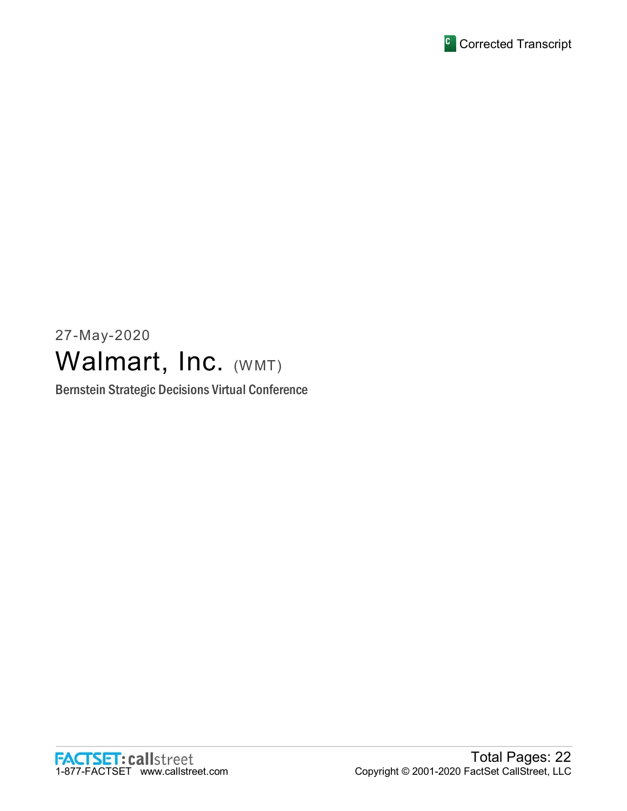

# 27-May-2020 Walmart, Inc. (WMT)

Bernstein Strategic Decisions Virtual Conference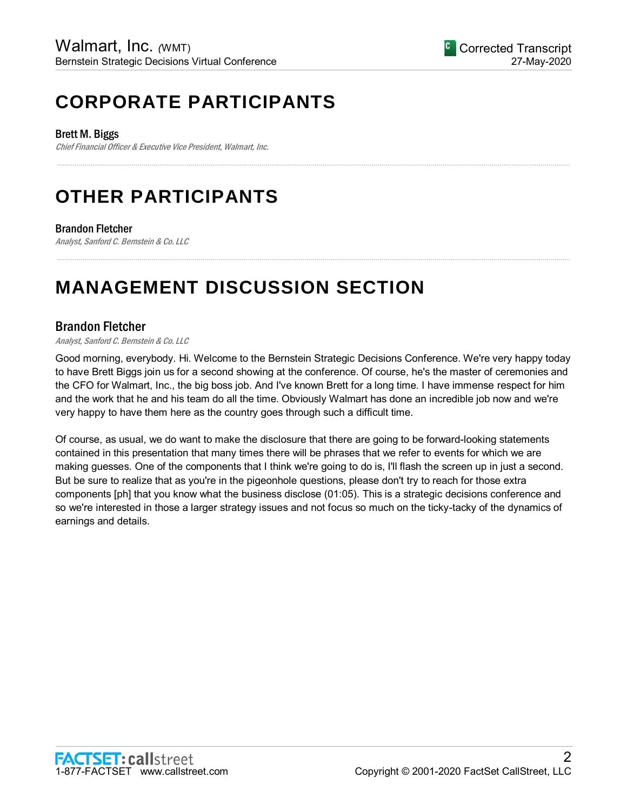## **CORPORATE PARTICIPANTS**

Brett M. Biggs

Chief Financial Officer & Executive Vice President, Walmart, Inc.

## **OTHER PARTICIPANTS**

## Brandon Fletcher

Analyst, Sanford C. Bernstein & Co. LLC

## **MANAGEMENT DISCUSSION SECTION**

## Brandon Fletcher

#### Analyst, Sanford C. Bernstein & Co. LLC

Good morning, everybody. Hi. Welcome to the Bernstein Strategic Decisions Conference. We're very happy today to have Brett Biggs join us for a second showing at the conference. Of course, he's the master of ceremonies and the CFO for Walmart, Inc., the big boss job. And I've known Brett for a long time. I have immense respect for him and the work that he and his team do all the time. Obviously Walmart has done an incredible job now and we're very happy to have them here as the country goes through such a difficult time.

.....................................................................................................................................................................................................................................................................

.....................................................................................................................................................................................................................................................................

Of course, as usual, we do want to make the disclosure that there are going to be forward-looking statements contained in this presentation that many times there will be phrases that we refer to events for which we are making guesses. One of the components that I think we're going to do is, I'll flash the screen up in just a second. But be sure to realize that as you're in the pigeonhole questions, please don't try to reach for those extra components [ph] that you know what the business disclose (01:05). This is a strategic decisions conference and so we're interested in those a larger strategy issues and not focus so much on the ticky-tacky of the dynamics of earnings and details.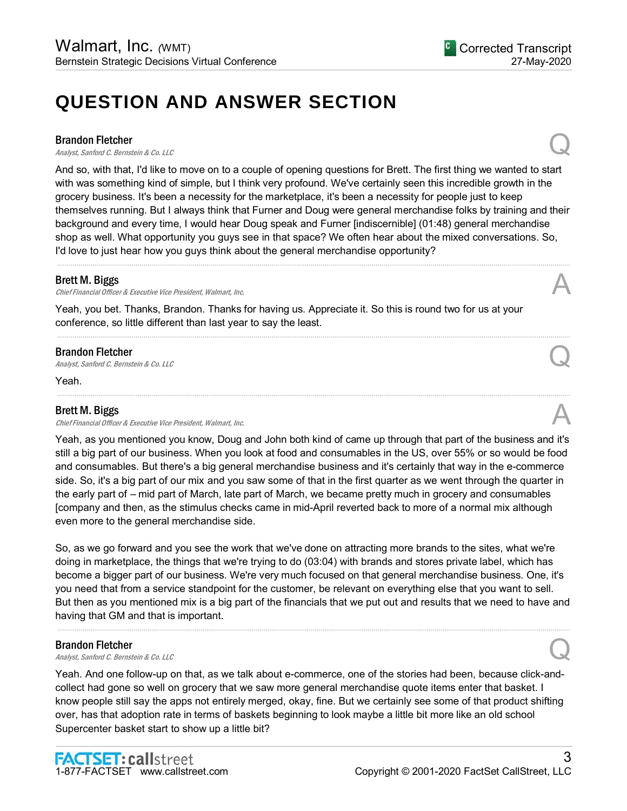## **QUESTION AND ANSWER SECTION**

#### Brandon Fletcher

**Brandon Fletcher**<br>Analyst, Sanford C. Bernstein & Co. LLC Quarter of the Control of the Control of the Control Control of the Control of the Control of the Control of the Control of the Control of the Control of the Cont

And so, with that, I'd like to move on to a couple of opening questions for Brett. The first thing we wanted to start with was something kind of simple, but I think very profound. We've certainly seen this incredible growth in the grocery business. It's been a necessity for the marketplace, it's been a necessity for people just to keep themselves running. But I always think that Furner and Doug were general merchandise folks by training and their background and every time, I would hear Doug speak and Furner [indiscernible] (01:48) general merchandise shop as well. What opportunity you guys see in that space? We often hear about the mixed conversations. So, I'd love to just hear how you guys think about the general merchandise opportunity?

.....................................................................................................................................................................................................................................................................

.....................................................................................................................................................................................................................................................................

.....................................................................................................................................................................................................................................................................

#### Brett M. Biggs

Chief Financial Officer & Executive Vice President, Walmart, Inc.

Yeah, you bet. Thanks, Brandon. Thanks for having us. Appreciate it. So this is round two for us at your conference, so little different than last year to say the least.

#### Brandon Fletcher

**Brandon Fletcher**<br>Analyst, Sanford C. Bernstein & Co. LLC Quarter of the Control of the Control of the Control Control of the Control of the Control of the Control of the Control of the Control of the Control of the Cont

Yeah.

### Brett M. Biggs

Chief Financial Officer & Executive Vice President, Walmart, Inc.

Yeah, as you mentioned you know, Doug and John both kind of came up through that part of the business and it's still a big part of our business. When you look at food and consumables in the US, over 55% or so would be food and consumables. But there's a big general merchandise business and it's certainly that way in the e-commerce side. So, it's a big part of our mix and you saw some of that in the first quarter as we went through the quarter in the early part of – mid part of March, late part of March, we became pretty much in grocery and consumables [company and then, as the stimulus checks came in mid-April reverted back to more of a normal mix although even more to the general merchandise side.

So, as we go forward and you see the work that we've done on attracting more brands to the sites, what we're doing in marketplace, the things that we're trying to do (03:04) with brands and stores private label, which has become a bigger part of our business. We're very much focused on that general merchandise business. One, it's you need that from a service standpoint for the customer, be relevant on everything else that you want to sell. But then as you mentioned mix is a big part of the financials that we put out and results that we need to have and having that GM and that is important.

.....................................................................................................................................................................................................................................................................

#### Brandon Fletcher

**Brandon Fletcher**<br>Analyst, Sanford C. Bernstein & Co. LLC Quantum Control of the Second Control of Brandyst, Sanford C. Bernstein & Co. LLC

Yeah. And one follow-up on that, as we talk about e-commerce, one of the stories had been, because click-andcollect had gone so well on grocery that we saw more general merchandise quote items enter that basket. I know people still say the apps not entirely merged, okay, fine. But we certainly see some of that product shifting over, has that adoption rate in terms of baskets beginning to look maybe a little bit more like an old school Supercenter basket start to show up a little bit?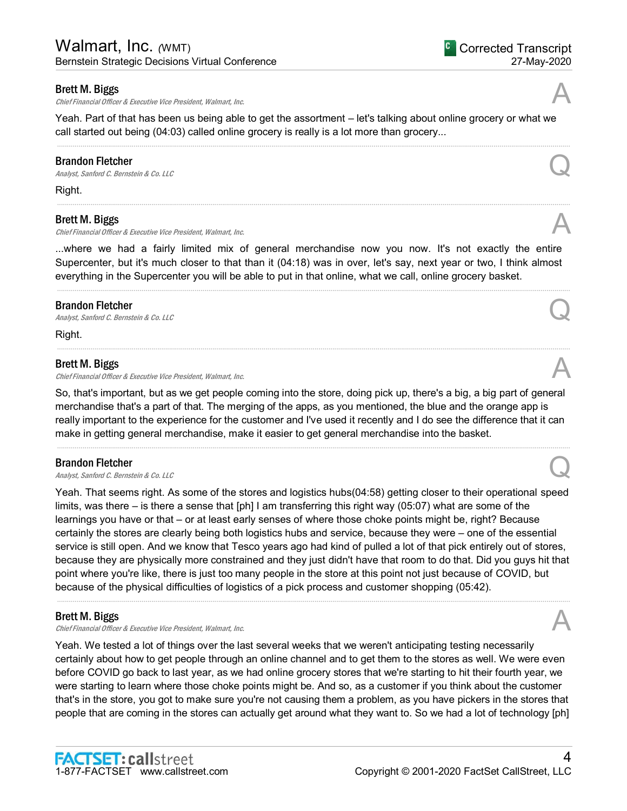Chief Financial Officer & Executive Vice President, Walmart, Inc.

Yeah. Part of that has been us being able to get the assortment – let's talking about online grocery or what we call started out being (04:03) called online grocery is really is a lot more than grocery...

.....................................................................................................................................................................................................................................................................

#### Brandon Fletcher

**Brandon Fletcher**<br>Analyst, Sanford C. Bernstein & Co. LLC Quarter of the Control of the Control of the Control Control of the Control of the Control of the Control of the Control of the Control of the Control of the Cont

Right.

#### Brett M. Biggs

Chief Financial Officer & Executive Vice President, Walmart, Inc.

...where we had a fairly limited mix of general merchandise now you now. It's not exactly the entire Supercenter, but it's much closer to that than it (04:18) was in over, let's say, next year or two, I think almost everything in the Supercenter you will be able to put in that online, what we call, online grocery basket.

.....................................................................................................................................................................................................................................................................

.....................................................................................................................................................................................................................................................................

#### Brandon Fletcher

**Brandon Fletcher**<br>Analyst, Sanford C. Bernstein & Co. LLC Quantum Control Control Control Control Control Control Control Control Control Control Control Control Control Control Control Control Control Control Control Co

Right.

#### Brett M. Biggs

Chief Financial Officer & Executive Vice President, Walmart, Inc.

So, that's important, but as we get people coming into the store, doing pick up, there's a big, a big part of general merchandise that's a part of that. The merging of the apps, as you mentioned, the blue and the orange app is really important to the experience for the customer and I've used it recently and I do see the difference that it can make in getting general merchandise, make it easier to get general merchandise into the basket.

.....................................................................................................................................................................................................................................................................

#### Brandon Fletcher

**Brandon Fletcher**<br>Analyst, Sanford C. Bernstein & Co. LLC Quarter  $\mathcal{Q}$ 

Yeah. That seems right. As some of the stores and logistics hubs(04:58) getting closer to their operational speed limits, was there – is there a sense that [ph] I am transferring this right way (05:07) what are some of the learnings you have or that – or at least early senses of where those choke points might be, right? Because certainly the stores are clearly being both logistics hubs and service, because they were – one of the essential service is still open. And we know that Tesco years ago had kind of pulled a lot of that pick entirely out of stores, because they are physically more constrained and they just didn't have that room to do that. Did you guys hit that point where you're like, there is just too many people in the store at this point not just because of COVID, but because of the physical difficulties of logistics of a pick process and customer shopping (05:42).

.....................................................................................................................................................................................................................................................................

#### Brett M. Biggs

**Brett M. Biggs**<br>Chief Financial Officer & Executive Vice President, Walmart, Inc. And the comparation of the chief Financial Officer & Executive Vice President, Walmart, Inc.

Yeah. We tested a lot of things over the last several weeks that we weren't anticipating testing necessarily certainly about how to get people through an online channel and to get them to the stores as well. We were even before COVID go back to last year, as we had online grocery stores that we're starting to hit their fourth year, we were starting to learn where those choke points might be. And so, as a customer if you think about the customer that's in the store, you got to make sure you're not causing them a problem, as you have pickers in the stores that people that are coming in the stores can actually get around what they want to. So we had a lot of technology [ph]







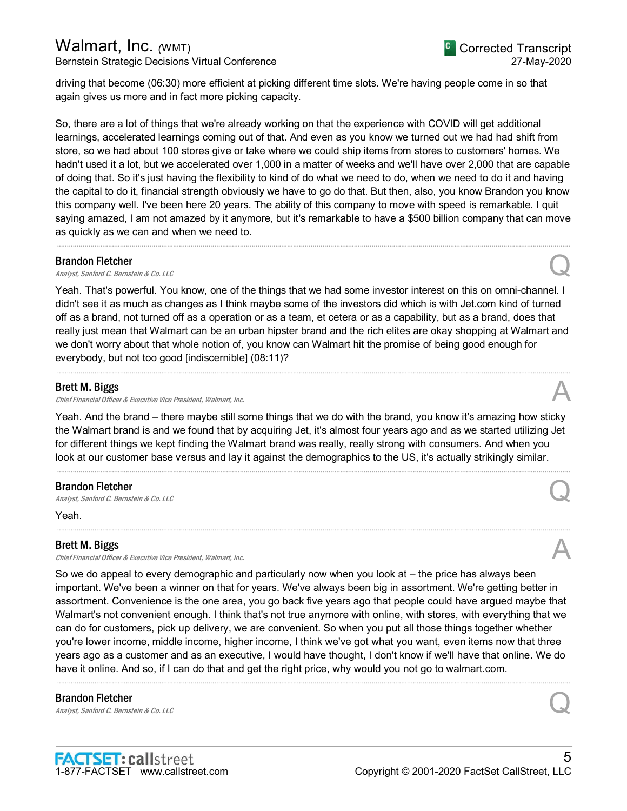driving that become (06:30) more efficient at picking different time slots. We're having people come in so that again gives us more and in fact more picking capacity.

So, there are a lot of things that we're already working on that the experience with COVID will get additional learnings, accelerated learnings coming out of that. And even as you know we turned out we had had shift from store, so we had about 100 stores give or take where we could ship items from stores to customers' homes. We hadn't used it a lot, but we accelerated over 1,000 in a matter of weeks and we'll have over 2,000 that are capable of doing that. So it's just having the flexibility to kind of do what we need to do, when we need to do it and having the capital to do it, financial strength obviously we have to go do that. But then, also, you know Brandon you know this company well. I've been here 20 years. The ability of this company to move with speed is remarkable. I quit saying amazed, I am not amazed by it anymore, but it's remarkable to have a \$500 billion company that can move as quickly as we can and when we need to.

.....................................................................................................................................................................................................................................................................

#### Brandon Fletcher

**Brandon Fletcher**<br>Analyst, Sanford C. Bernstein & Co. LLC Quarter of the Control of the Control of the Control Control of the Control of the Control of the Control of the Control of the Control of the Control of the Cont

Yeah. That's powerful. You know, one of the things that we had some investor interest on this on omni-channel. I didn't see it as much as changes as I think maybe some of the investors did which is with Jet.com kind of turned off as a brand, not turned off as a operation or as a team, et cetera or as a capability, but as a brand, does that really just mean that Walmart can be an urban hipster brand and the rich elites are okay shopping at Walmart and we don't worry about that whole notion of, you know can Walmart hit the promise of being good enough for everybody, but not too good [indiscernible] (08:11)?

.....................................................................................................................................................................................................................................................................

#### Brett M. Biggs

Chief Financial Officer & Executive Vice President, Walmart, Inc.

Yeah. And the brand – there maybe still some things that we do with the brand, you know it's amazing how sticky the Walmart brand is and we found that by acquiring Jet, it's almost four years ago and as we started utilizing Jet for different things we kept finding the Walmart brand was really, really strong with consumers. And when you look at our customer base versus and lay it against the demographics to the US, it's actually strikingly similar.

.....................................................................................................................................................................................................................................................................

.....................................................................................................................................................................................................................................................................

#### Brandon Fletcher

**Brandon Fletcher**<br>Analyst, Sanford C. Bernstein & Co. LLC Quarter of the Control of the Control of the Control Control of the Control of the Control of the Control of the Control of the Control of the Control of the Cont

Yeah.

#### Brett M. Biggs

Chief Financial Officer & Executive Vice President, Walmart, Inc.

So we do appeal to every demographic and particularly now when you look at – the price has always been important. We've been a winner on that for years. We've always been big in assortment. We're getting better in assortment. Convenience is the one area, you go back five years ago that people could have argued maybe that Walmart's not convenient enough. I think that's not true anymore with online, with stores, with everything that we can do for customers, pick up delivery, we are convenient. So when you put all those things together whether you're lower income, middle income, higher income, I think we've got what you want, even items now that three years ago as a customer and as an executive, I would have thought, I don't know if we'll have that online. We do have it online. And so, if I can do that and get the right price, why would you not go to walmart.com.

.....................................................................................................................................................................................................................................................................

#### Brandon Fletcher

**Brandon Fletcher**<br>Analyst, Sanford C. Bernstein & Co. LLC Quantum Control of the Second Control of Brandyst, Sanford C. Bernstein & Co. LLC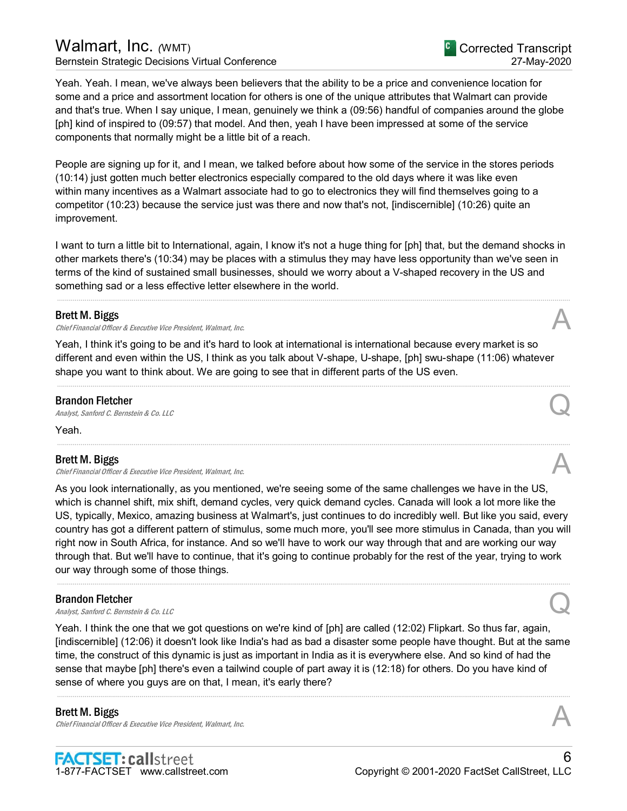## Walmart, Inc. *(WMT)*

Bernstein Strategic Decisions Virtual Conference

Yeah. Yeah. I mean, we've always been believers that the ability to be a price and convenience location for some and a price and assortment location for others is one of the unique attributes that Walmart can provide and that's true. When I say unique, I mean, genuinely we think a (09:56) handful of companies around the globe [ph] kind of inspired to (09:57) that model. And then, yeah I have been impressed at some of the service components that normally might be a little bit of a reach.

People are signing up for it, and I mean, we talked before about how some of the service in the stores periods (10:14) just gotten much better electronics especially compared to the old days where it was like even within many incentives as a Walmart associate had to go to electronics they will find themselves going to a competitor (10:23) because the service just was there and now that's not, [indiscernible] (10:26) quite an improvement.

I want to turn a little bit to International, again, I know it's not a huge thing for [ph] that, but the demand shocks in other markets there's (10:34) may be places with a stimulus they may have less opportunity than we've seen in terms of the kind of sustained small businesses, should we worry about a V-shaped recovery in the US and something sad or a less effective letter elsewhere in the world.

.....................................................................................................................................................................................................................................................................

## Brett M. Biggs

Chief Financial Officer & Executive Vice President, Walmart, Inc.

Yeah, I think it's going to be and it's hard to look at international is international because every market is so different and even within the US, I think as you talk about V-shape, U-shape, [ph] swu-shape (11:06) whatever shape you want to think about. We are going to see that in different parts of the US even.

.....................................................................................................................................................................................................................................................................

.....................................................................................................................................................................................................................................................................

#### Brandon Fletcher

**Brandon Fletcher**<br>Analyst, Sanford C. Bernstein & Co. LLC Quantum Control Control Control Control Control Control Control Control Control Control Control Control Control Control Control Control Control Control Control Co

Yeah.

#### Brett M. Biggs

Chief Financial Officer & Executive Vice President, Walmart, Inc. A

As you look internationally, as you mentioned, we're seeing some of the same challenges we have in the US, which is channel shift, mix shift, demand cycles, very quick demand cycles. Canada will look a lot more like the US, typically, Mexico, amazing business at Walmart's, just continues to do incredibly well. But like you said, every country has got a different pattern of stimulus, some much more, you'll see more stimulus in Canada, than you will right now in South Africa, for instance. And so we'll have to work our way through that and are working our way through that. But we'll have to continue, that it's going to continue probably for the rest of the year, trying to work our way through some of those things.

.....................................................................................................................................................................................................................................................................

## Brandon Fletcher

**Brandon Fletcher**<br>Analyst, Sanford C. Bernstein & Co. LLC Quantum Control Control Control Control Control Control Control Control Control Control Control Control Control Control Control Control Control Control Control Co

Yeah. I think the one that we got questions on we're kind of [ph] are called (12:02) Flipkart. So thus far, again, [indiscernible] (12:06) it doesn't look like India's had as bad a disaster some people have thought. But at the same time, the construct of this dynamic is just as important in India as it is everywhere else. And so kind of had the sense that maybe [ph] there's even a tailwind couple of part away it is (12:18) for others. Do you have kind of sense of where you guys are on that, I mean, it's early there?

.....................................................................................................................................................................................................................................................................

#### Brett M. Biggs

Chief Financial Officer & Executive Vice President, Walmart, Inc.

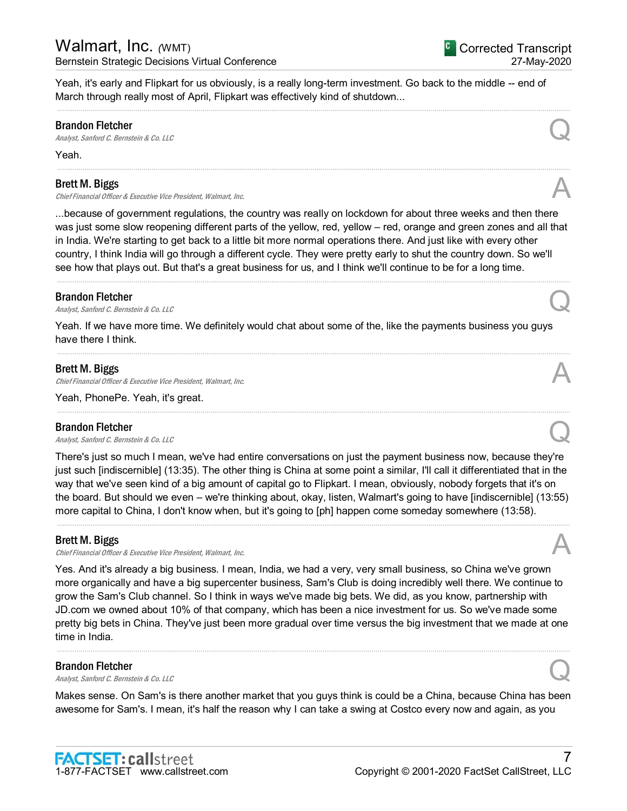<sup>C</sup> Corrected Transcript 27-May-2020

Yeah, it's early and Flipkart for us obviously, is a really long-term investment. Go back to the middle -- end of March through really most of April, Flipkart was effectively kind of shutdown...

.....................................................................................................................................................................................................................................................................

.....................................................................................................................................................................................................................................................................

#### Brandon Fletcher

**Brandon Fletcher**<br>Analyst, Sanford C. Bernstein & Co. LLC Quarter  $\mathcal{Q}$ 

Yeah.

#### Brett M. Biggs

Chief Financial Officer & Executive Vice President, Walmart, Inc.

...because of government regulations, the country was really on lockdown for about three weeks and then there was just some slow reopening different parts of the yellow, red, yellow – red, orange and green zones and all that in India. We're starting to get back to a little bit more normal operations there. And just like with every other country, I think India will go through a different cycle. They were pretty early to shut the country down. So we'll see how that plays out. But that's a great business for us, and I think we'll continue to be for a long time. .....................................................................................................................................................................................................................................................................

#### Brandon Fletcher

**Brandon Fletcher**<br>Analyst, Sanford C. Bernstein & Co. LLC Quantum Control Control Control Control Control Control Control Control Control Control Control Control Control Control Control Control Control Control Control Co

Yeah. If we have more time. We definitely would chat about some of the, like the payments business you guys have there I think.

.....................................................................................................................................................................................................................................................................

.....................................................................................................................................................................................................................................................................

#### Brett M. Biggs

Chief Financial Officer & Executive Vice President, Walmart, Inc.

Yeah, PhonePe. Yeah, it's great.

#### Brandon Fletcher

**Brandon Fletcher**<br>Analyst, Sanford C. Bernstein & Co. LLC Quantum Control Control Control Control Control Control Control Control Control Control Control Control Control Control Control Control Control Control Control Co

There's just so much I mean, we've had entire conversations on just the payment business now, because they're just such [indiscernible] (13:35). The other thing is China at some point a similar, I'll call it differentiated that in the way that we've seen kind of a big amount of capital go to Flipkart. I mean, obviously, nobody forgets that it's on the board. But should we even – we're thinking about, okay, listen, Walmart's going to have [indiscernible] (13:55) more capital to China, I don't know when, but it's going to [ph] happen come someday somewhere (13:58).

.....................................................................................................................................................................................................................................................................

#### Brett M. Biggs

Chief Financial Officer & Executive Vice President, Walmart, Inc.

Yes. And it's already a big business. I mean, India, we had a very, very small business, so China we've grown more organically and have a big supercenter business, Sam's Club is doing incredibly well there. We continue to grow the Sam's Club channel. So I think in ways we've made big bets. We did, as you know, partnership with JD.com we owned about 10% of that company, which has been a nice investment for us. So we've made some pretty big bets in China. They've just been more gradual over time versus the big investment that we made at one time in India.

#### Brandon Fletcher

**Brandon Fletcher**<br>Analyst, Sanford C. Bernstein & Co. LLC Quarter of the Control of the Control of the Control Control of the Control of the Control of the Control of the Control of the Control of the Control of the Cont

Makes sense. On Sam's is there another market that you guys think is could be a China, because China has been awesome for Sam's. I mean, it's half the reason why I can take a swing at Costco every now and again, as you

.....................................................................................................................................................................................................................................................................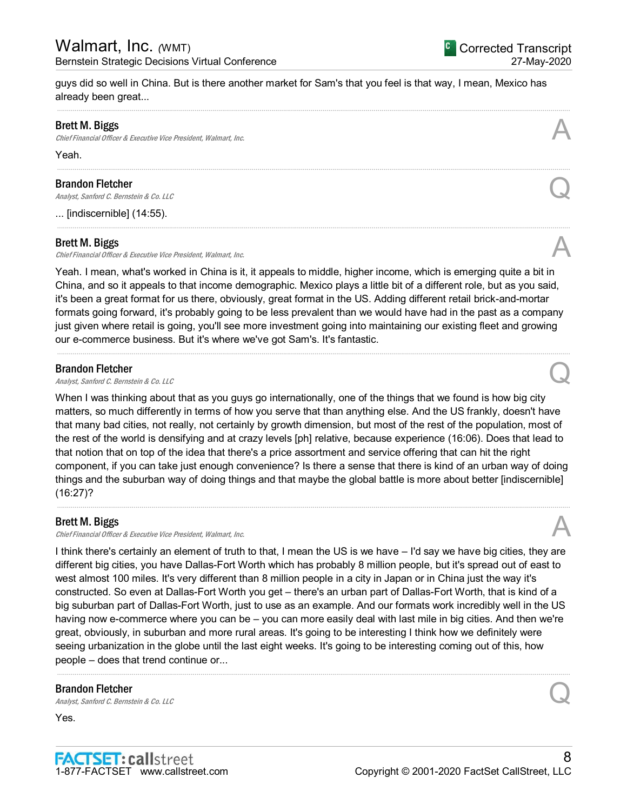guys did so well in China. But is there another market for Sam's that you feel is that way, I mean, Mexico has already been great...

.....................................................................................................................................................................................................................................................................

.....................................................................................................................................................................................................................................................................

.....................................................................................................................................................................................................................................................................

#### Brett M. Biggs

Chief Financial Officer & Executive Vice President, Walmart, Inc.

Yeah.

#### Brandon Fletcher

**Brandon Fletcher**<br>Analyst, Sanford C. Bernstein & Co. LLC Quarter  $\mathcal{Q}$ 

... [indiscernible] (14:55).

#### Brett M. Biggs

Chief Financial Officer & Executive Vice President, Walmart, Inc.

Yeah. I mean, what's worked in China is it, it appeals to middle, higher income, which is emerging quite a bit in China, and so it appeals to that income demographic. Mexico plays a little bit of a different role, but as you said, it's been a great format for us there, obviously, great format in the US. Adding different retail brick-and-mortar formats going forward, it's probably going to be less prevalent than we would have had in the past as a company just given where retail is going, you'll see more investment going into maintaining our existing fleet and growing our e-commerce business. But it's where we've got Sam's. It's fantastic.

.....................................................................................................................................................................................................................................................................

#### Brandon Fletcher

**Brandon Fletcher**<br>Analyst, Sanford C. Bernstein & Co. LLC Quantum Control Control Control Control Control Control Control Control Control Control Control Control Control Control Control Control Control Control Control Co

When I was thinking about that as you guys go internationally, one of the things that we found is how big city matters, so much differently in terms of how you serve that than anything else. And the US frankly, doesn't have that many bad cities, not really, not certainly by growth dimension, but most of the rest of the population, most of the rest of the world is densifying and at crazy levels [ph] relative, because experience (16:06). Does that lead to that notion that on top of the idea that there's a price assortment and service offering that can hit the right component, if you can take just enough convenience? Is there a sense that there is kind of an urban way of doing things and the suburban way of doing things and that maybe the global battle is more about better [indiscernible] (16:27)?

.....................................................................................................................................................................................................................................................................

#### Brett M. Biggs

Chief Financial Officer & Executive Vice President, Walmart, Inc.

I think there's certainly an element of truth to that, I mean the US is we have – I'd say we have big cities, they are different big cities, you have Dallas-Fort Worth which has probably 8 million people, but it's spread out of east to west almost 100 miles. It's very different than 8 million people in a city in Japan or in China just the way it's constructed. So even at Dallas-Fort Worth you get – there's an urban part of Dallas-Fort Worth, that is kind of a big suburban part of Dallas-Fort Worth, just to use as an example. And our formats work incredibly well in the US having now e-commerce where you can be – you can more easily deal with last mile in big cities. And then we're great, obviously, in suburban and more rural areas. It's going to be interesting I think how we definitely were seeing urbanization in the globe until the last eight weeks. It's going to be interesting coming out of this, how people – does that trend continue or...

.....................................................................................................................................................................................................................................................................

#### Brandon Fletcher

**Brandon Fletcher**<br>Analyst, Sanford C. Bernstein & Co. LLC Quarter of the Control of the Control of Brandyst, Sanford C. Bernstein & Co. LLC

Yes.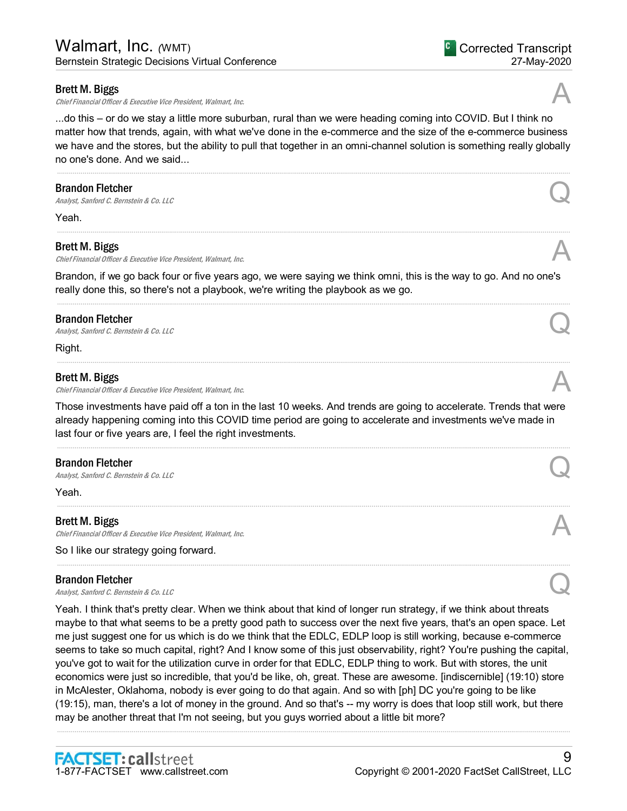Chief Financial Officer & Executive Vice President, Walmart, Inc.

...do this – or do we stay a little more suburban, rural than we were heading coming into COVID. But I think no matter how that trends, again, with what we've done in the e-commerce and the size of the e-commerce business we have and the stores, but the ability to pull that together in an omni-channel solution is something really globally no one's done. And we said...

.....................................................................................................................................................................................................................................................................

.....................................................................................................................................................................................................................................................................

#### Brandon Fletcher

**Brandon Fletcher**<br>Analyst, Sanford C. Bernstein & Co. LLC Quantum Control Control Control Control Control Control Control Control Control Control Control Control Control Control Control Control Control Control Control Co

Yeah.

#### Brett M. Biggs

Chief Financial Officer & Executive Vice President, Walmart, Inc.

Brandon, if we go back four or five years ago, we were saying we think omni, this is the way to go. And no one's really done this, so there's not a playbook, we're writing the playbook as we go.

.....................................................................................................................................................................................................................................................................

.....................................................................................................................................................................................................................................................................

#### Brandon Fletcher

**Brandon Fletcher**<br>Analyst, Sanford C. Bernstein & Co. LLC Quarter  $\mathcal{Q}$ 

Right.

#### Brett M. Biggs

Chief Financial Officer & Executive Vice President, Walmart, Inc.

Those investments have paid off a ton in the last 10 weeks. And trends are going to accelerate. Trends that were already happening coming into this COVID time period are going to accelerate and investments we've made in last four or five years are, I feel the right investments.

.....................................................................................................................................................................................................................................................................

.....................................................................................................................................................................................................................................................................

.....................................................................................................................................................................................................................................................................

#### Brandon Fletcher

**Brandon Fletcher**<br>Analyst, Sanford C. Bernstein & Co. LLC Quantum Control of the Second Control Control Control Control Control Control Control Control Control Control Control Control Control Control Control Control Cont

Yeah.

#### Brett M. Biggs

Chief Financial Officer & Executive Vice President, Walmart, Inc.

So I like our strategy going forward.

#### Brandon Fletcher

**Brandon Fletcher**<br>Analyst, Sanford C. Bernstein & Co. LLC Quantum Control Control Control Control Control Control Control Control Control Control Control Control Control Control Control Control Control Control Control Co

Yeah. I think that's pretty clear. When we think about that kind of longer run strategy, if we think about threats maybe to that what seems to be a pretty good path to success over the next five years, that's an open space. Let me just suggest one for us which is do we think that the EDLC, EDLP loop is still working, because e-commerce seems to take so much capital, right? And I know some of this just observability, right? You're pushing the capital, you've got to wait for the utilization curve in order for that EDLC, EDLP thing to work. But with stores, the unit economics were just so incredible, that you'd be like, oh, great. These are awesome. [indiscernible] (19:10) store in McAlester, Oklahoma, nobody is ever going to do that again. And so with [ph] DC you're going to be like (19:15), man, there's a lot of money in the ground. And so that's -- my worry is does that loop still work, but there may be another threat that I'm not seeing, but you guys worried about a little bit more?

.....................................................................................................................................................................................................................................................................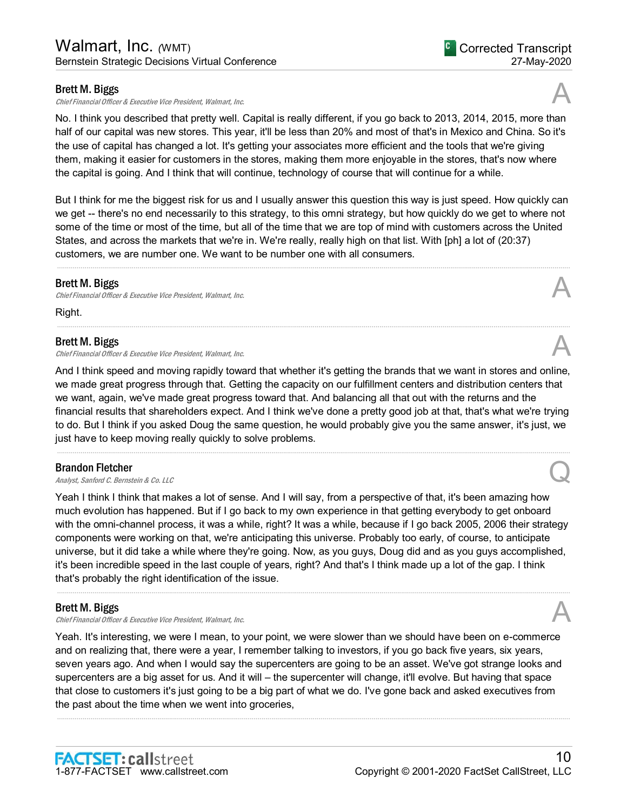Chief Financial Officer & Executive Vice President, Walmart, Inc.

No. I think you described that pretty well. Capital is really different, if you go back to 2013, 2014, 2015, more than half of our capital was new stores. This year, it'll be less than 20% and most of that's in Mexico and China. So it's the use of capital has changed a lot. It's getting your associates more efficient and the tools that we're giving them, making it easier for customers in the stores, making them more enjoyable in the stores, that's now where the capital is going. And I think that will continue, technology of course that will continue for a while.

But I think for me the biggest risk for us and I usually answer this question this way is just speed. How quickly can we get -- there's no end necessarily to this strategy, to this omni strategy, but how quickly do we get to where not some of the time or most of the time, but all of the time that we are top of mind with customers across the United States, and across the markets that we're in. We're really, really high on that list. With [ph] a lot of (20:37) customers, we are number one. We want to be number one with all consumers.

.....................................................................................................................................................................................................................................................................

.....................................................................................................................................................................................................................................................................

#### Brett M. Biggs

**Brett M. Biggs**<br>Chief Financial Officer & Executive Vice President, Walmart, Inc. And Alta Chief Financial Officer & Executive Vice President, Walmart, Inc.

Right.

#### Brett M. Biggs

Chief Financial Officer & Executive Vice President, Walmart, Inc.

And I think speed and moving rapidly toward that whether it's getting the brands that we want in stores and online, we made great progress through that. Getting the capacity on our fulfillment centers and distribution centers that we want, again, we've made great progress toward that. And balancing all that out with the returns and the financial results that shareholders expect. And I think we've done a pretty good job at that, that's what we're trying to do. But I think if you asked Doug the same question, he would probably give you the same answer, it's just, we just have to keep moving really quickly to solve problems.

.....................................................................................................................................................................................................................................................................

#### Brandon Fletcher

**Brandon Fletcher**<br>Analyst, Sanford C. Bernstein & Co. LLC Quantum Control of the Second Control of Brandyst, Sanford C. Bernstein & Co. LLC

Yeah I think I think that makes a lot of sense. And I will say, from a perspective of that, it's been amazing how much evolution has happened. But if I go back to my own experience in that getting everybody to get onboard with the omni-channel process, it was a while, right? It was a while, because if I go back 2005, 2006 their strategy components were working on that, we're anticipating this universe. Probably too early, of course, to anticipate universe, but it did take a while where they're going. Now, as you guys, Doug did and as you guys accomplished, it's been incredible speed in the last couple of years, right? And that's I think made up a lot of the gap. I think that's probably the right identification of the issue.

.....................................................................................................................................................................................................................................................................

#### Brett M. Biggs

Chief Financial Officer & Executive Vice President, Walmart, Inc.

Yeah. It's interesting, we were I mean, to your point, we were slower than we should have been on e-commerce and on realizing that, there were a year, I remember talking to investors, if you go back five years, six years, seven years ago. And when I would say the supercenters are going to be an asset. We've got strange looks and supercenters are a big asset for us. And it will – the supercenter will change, it'll evolve. But having that space that close to customers it's just going to be a big part of what we do. I've gone back and asked executives from the past about the time when we went into groceries,

.....................................................................................................................................................................................................................................................................



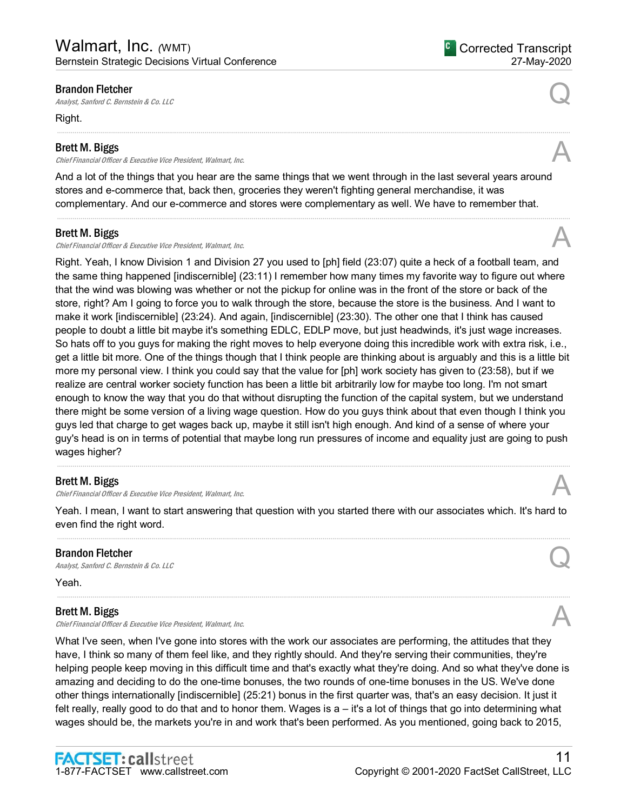#### Brandon Fletcher

**Brandon Fletcher**<br>Analyst, Sanford C. Bernstein & Co. LLC Quantum Control Control Control Control Control Control Control Control Control Control Control Control Control Control Control Control Control Control Control Co

Right.

#### Brett M. Biggs

Chief Financial Officer & Executive Vice President, Walmart, Inc.

And a lot of the things that you hear are the same things that we went through in the last several years around stores and e-commerce that, back then, groceries they weren't fighting general merchandise, it was complementary. And our e-commerce and stores were complementary as well. We have to remember that.

.....................................................................................................................................................................................................................................................................

#### Brett M. Biggs

Chief Financial Officer & Executive Vice President, Walmart, Inc.

Right. Yeah, I know Division 1 and Division 27 you used to [ph] field (23:07) quite a heck of a football team, and the same thing happened [indiscernible] (23:11) I remember how many times my favorite way to figure out where that the wind was blowing was whether or not the pickup for online was in the front of the store or back of the store, right? Am I going to force you to walk through the store, because the store is the business. And I want to make it work [indiscernible] (23:24). And again, [indiscernible] (23:30). The other one that I think has caused people to doubt a little bit maybe it's something EDLC, EDLP move, but just headwinds, it's just wage increases. So hats off to you guys for making the right moves to help everyone doing this incredible work with extra risk, i.e., get a little bit more. One of the things though that I think people are thinking about is arguably and this is a little bit more my personal view. I think you could say that the value for [ph] work society has given to (23:58), but if we realize are central worker society function has been a little bit arbitrarily low for maybe too long. I'm not smart enough to know the way that you do that without disrupting the function of the capital system, but we understand there might be some version of a living wage question. How do you guys think about that even though I think you guys led that charge to get wages back up, maybe it still isn't high enough. And kind of a sense of where your guy's head is on in terms of potential that maybe long run pressures of income and equality just are going to push wages higher?

## Brett M. Biggs

Chief Financial Officer & Executive Vice President, Walmart, Inc.

Yeah. I mean, I want to start answering that question with you started there with our associates which. It's hard to even find the right word. .....................................................................................................................................................................................................................................................................

.....................................................................................................................................................................................................................................................................

.....................................................................................................................................................................................................................................................................

## Brandon Fletcher

**Brandon Fletcher**<br>Analyst, Sanford C. Bernstein & Co. LLC Quantum Control of the Second Control of Brandyst, Sanford C. Bernstein & Co. LLC

Yeah.

#### Brett M. Biggs

Chief Financial Officer & Executive Vice President, Walmart, Inc.

What I've seen, when I've gone into stores with the work our associates are performing, the attitudes that they have, I think so many of them feel like, and they rightly should. And they're serving their communities, they're helping people keep moving in this difficult time and that's exactly what they're doing. And so what they've done is amazing and deciding to do the one-time bonuses, the two rounds of one-time bonuses in the US. We've done other things internationally [indiscernible] (25:21) bonus in the first quarter was, that's an easy decision. It just it felt really, really good to do that and to honor them. Wages is a – it's a lot of things that go into determining what wages should be, the markets you're in and work that's been performed. As you mentioned, going back to 2015,





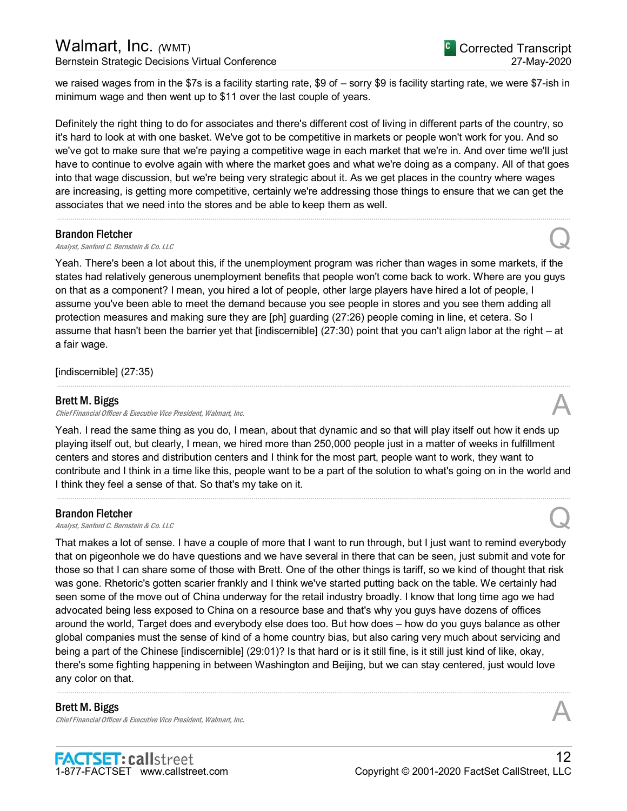we raised wages from in the \$7s is a facility starting rate, \$9 of – sorry \$9 is facility starting rate, we were \$7-ish in minimum wage and then went up to \$11 over the last couple of years.

Definitely the right thing to do for associates and there's different cost of living in different parts of the country, so it's hard to look at with one basket. We've got to be competitive in markets or people won't work for you. And so we've got to make sure that we're paying a competitive wage in each market that we're in. And over time we'll just have to continue to evolve again with where the market goes and what we're doing as a company. All of that goes into that wage discussion, but we're being very strategic about it. As we get places in the country where wages are increasing, is getting more competitive, certainly we're addressing those things to ensure that we can get the associates that we need into the stores and be able to keep them as well.

.....................................................................................................................................................................................................................................................................

#### Brandon Fletcher

# **Brandon Fletcher**<br>Analyst, Sanford C. Bernstein & Co. LLC Quarter of the Control of the Control of the Control Control of the Control of the Control of the Control of the Control of the Control of the Control of the Cont

Yeah. There's been a lot about this, if the unemployment program was richer than wages in some markets, if the states had relatively generous unemployment benefits that people won't come back to work. Where are you guys on that as a component? I mean, you hired a lot of people, other large players have hired a lot of people, I assume you've been able to meet the demand because you see people in stores and you see them adding all protection measures and making sure they are [ph] guarding (27:26) people coming in line, et cetera. So I assume that hasn't been the barrier yet that [indiscernible] (27:30) point that you can't align labor at the right – at a fair wage.

[indiscernible] (27:35)

#### Brett M. Biggs

Chief Financial Officer & Executive Vice President, Walmart, Inc.

Yeah. I read the same thing as you do, I mean, about that dynamic and so that will play itself out how it ends up playing itself out, but clearly, I mean, we hired more than 250,000 people just in a matter of weeks in fulfillment centers and stores and distribution centers and I think for the most part, people want to work, they want to contribute and I think in a time like this, people want to be a part of the solution to what's going on in the world and I think they feel a sense of that. So that's my take on it.

.....................................................................................................................................................................................................................................................................

.....................................................................................................................................................................................................................................................................

#### Brandon Fletcher

**Brandon Fletcher**<br>Analyst, Sanford C. Bernstein & Co. LLC Quantum Control of the Second Control of Brandyst, Sanford C. Bernstein & Co. LLC

That makes a lot of sense. I have a couple of more that I want to run through, but I just want to remind everybody that on pigeonhole we do have questions and we have several in there that can be seen, just submit and vote for those so that I can share some of those with Brett. One of the other things is tariff, so we kind of thought that risk was gone. Rhetoric's gotten scarier frankly and I think we've started putting back on the table. We certainly had seen some of the move out of China underway for the retail industry broadly. I know that long time ago we had advocated being less exposed to China on a resource base and that's why you guys have dozens of offices around the world, Target does and everybody else does too. But how does – how do you guys balance as other global companies must the sense of kind of a home country bias, but also caring very much about servicing and being a part of the Chinese [indiscernible] (29:01)? Is that hard or is it still fine, is it still just kind of like, okay, there's some fighting happening in between Washington and Beijing, but we can stay centered, just would love any color on that.

.....................................................................................................................................................................................................................................................................

#### Brett M. Biggs

Chief Financial Officer & Executive Vice President, Walmart, Inc.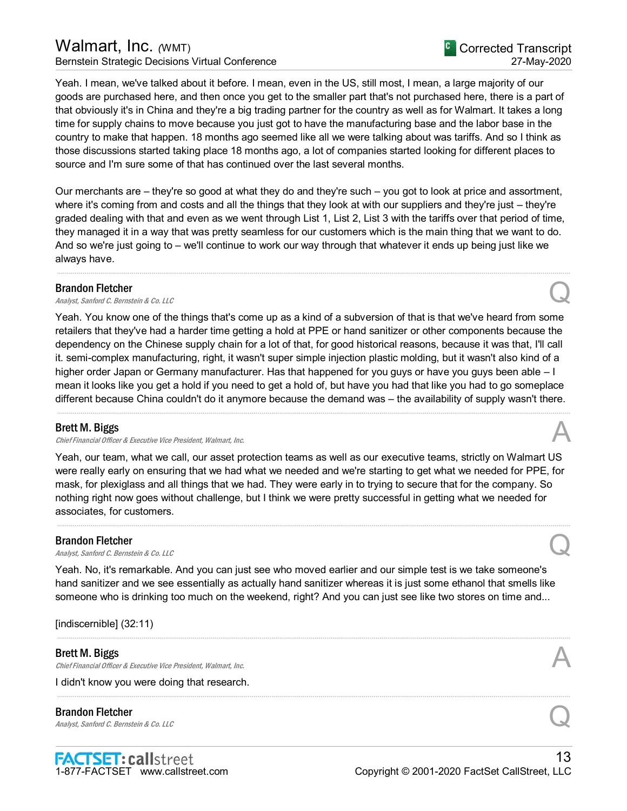## Walmart, Inc. *(WMT)*

Bernstein Strategic Decisions Virtual Conference

Yeah. I mean, we've talked about it before. I mean, even in the US, still most, I mean, a large majority of our goods are purchased here, and then once you get to the smaller part that's not purchased here, there is a part of that obviously it's in China and they're a big trading partner for the country as well as for Walmart. It takes a long time for supply chains to move because you just got to have the manufacturing base and the labor base in the country to make that happen. 18 months ago seemed like all we were talking about was tariffs. And so I think as those discussions started taking place 18 months ago, a lot of companies started looking for different places to source and I'm sure some of that has continued over the last several months.

Our merchants are – they're so good at what they do and they're such – you got to look at price and assortment, where it's coming from and costs and all the things that they look at with our suppliers and they're just – they're graded dealing with that and even as we went through List 1, List 2, List 3 with the tariffs over that period of time, they managed it in a way that was pretty seamless for our customers which is the main thing that we want to do. And so we're just going to – we'll continue to work our way through that whatever it ends up being just like we always have.

.....................................................................................................................................................................................................................................................................

#### Brandon Fletcher

**Brandon Fletcher**<br>Analyst, Sanford C. Bernstein & Co. LLC Quantum Control Control Control Control Control Control Control Control Control Control Control Control Control Control Control Control Control Control Control Co

Yeah. You know one of the things that's come up as a kind of a subversion of that is that we've heard from some retailers that they've had a harder time getting a hold at PPE or hand sanitizer or other components because the dependency on the Chinese supply chain for a lot of that, for good historical reasons, because it was that, I'll call it. semi-complex manufacturing, right, it wasn't super simple injection plastic molding, but it wasn't also kind of a higher order Japan or Germany manufacturer. Has that happened for you guys or have you guys been able – I mean it looks like you get a hold if you need to get a hold of, but have you had that like you had to go someplace different because China couldn't do it anymore because the demand was – the availability of supply wasn't there.

.....................................................................................................................................................................................................................................................................

## Brett M. Biggs

Chief Financial Officer & Executive Vice President, Walmart, Inc.

Yeah, our team, what we call, our asset protection teams as well as our executive teams, strictly on Walmart US were really early on ensuring that we had what we needed and we're starting to get what we needed for PPE, for mask, for plexiglass and all things that we had. They were early in to trying to secure that for the company. So nothing right now goes without challenge, but I think we were pretty successful in getting what we needed for associates, for customers.

.....................................................................................................................................................................................................................................................................

## Brandon Fletcher

**Brandon Fletcher**<br>Analyst, Sanford C. Bernstein & Co. LLC Quantum Control Control Control Control Control Control Control Control Control Control Control Control Control Control Control Control Control Control Control Co

Yeah. No, it's remarkable. And you can just see who moved earlier and our simple test is we take someone's hand sanitizer and we see essentially as actually hand sanitizer whereas it is just some ethanol that smells like someone who is drinking too much on the weekend, right? And you can just see like two stores on time and...

.....................................................................................................................................................................................................................................................................

.....................................................................................................................................................................................................................................................................

[indiscernible] (32:11)

## Brett M. Biggs

Chief Financial Officer & Executive Vice President, Walmart, Inc.

I didn't know you were doing that research.

Brandon Fletcher **Brandon Fletcher**<br>Analyst, Sanford C. Bernstein & Co. LLC Quarter  $\mathcal{Q}$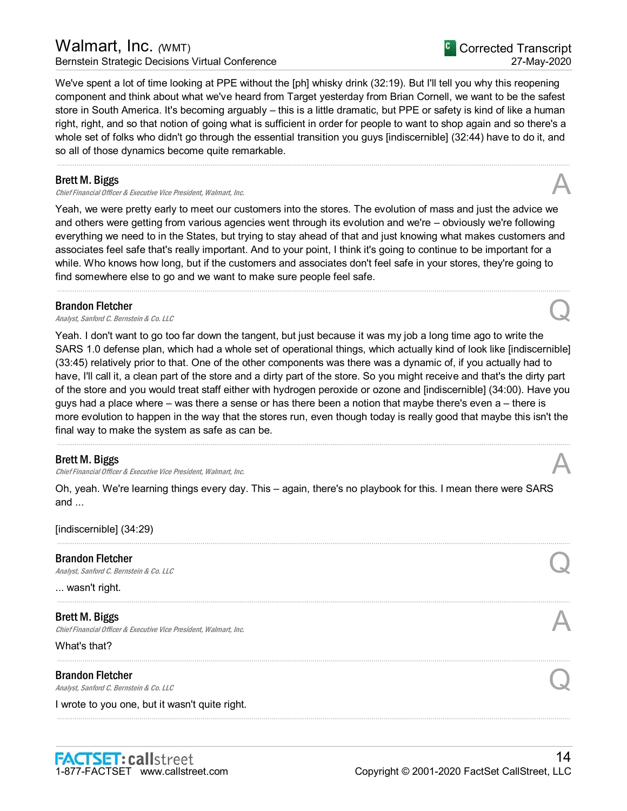## Walmart, Inc. *(WMT)* Bernstein Strategic Decisions Virtual Conference

We've spent a lot of time looking at PPE without the [ph] whisky drink (32:19). But I'll tell you why this reopening component and think about what we've heard from Target yesterday from Brian Cornell, we want to be the safest store in South America. It's becoming arguably – this is a little dramatic, but PPE or safety is kind of like a human right, right, and so that notion of going what is sufficient in order for people to want to shop again and so there's a whole set of folks who didn't go through the essential transition you guys [indiscernible] (32:44) have to do it, and so all of those dynamics become quite remarkable.

.....................................................................................................................................................................................................................................................................

#### Brett M. Biggs

Chief Financial Officer & Executive Vice President, Walmart, Inc.

Yeah, we were pretty early to meet our customers into the stores. The evolution of mass and just the advice we and others were getting from various agencies went through its evolution and we're – obviously we're following everything we need to in the States, but trying to stay ahead of that and just knowing what makes customers and associates feel safe that's really important. And to your point, I think it's going to continue to be important for a while. Who knows how long, but if the customers and associates don't feel safe in your stores, they're going to find somewhere else to go and we want to make sure people feel safe.

.....................................................................................................................................................................................................................................................................

#### Brandon Fletcher

**Brandon Fletcher**<br>Analyst, Sanford C. Bernstein & Co. LLC Quantum Control of the Second Control of Brandyst, Sanford C. Bernstein & Co. LLC

Yeah. I don't want to go too far down the tangent, but just because it was my job a long time ago to write the SARS 1.0 defense plan, which had a whole set of operational things, which actually kind of look like [indiscernible] (33:45) relatively prior to that. One of the other components was there was a dynamic of, if you actually had to have, I'll call it, a clean part of the store and a dirty part of the store. So you might receive and that's the dirty part of the store and you would treat staff either with hydrogen peroxide or ozone and [indiscernible] (34:00). Have you guys had a place where – was there a sense or has there been a notion that maybe there's even a – there is more evolution to happen in the way that the stores run, even though today is really good that maybe this isn't the final way to make the system as safe as can be.

.....................................................................................................................................................................................................................................................................

#### Brett M. Biggs

Chief Financial Officer & Executive Vice President, Walmart, Inc.

Oh, yeah. We're learning things every day. This – again, there's no playbook for this. I mean there were SARS and ...

.....................................................................................................................................................................................................................................................................

.....................................................................................................................................................................................................................................................................

.....................................................................................................................................................................................................................................................................

.....................................................................................................................................................................................................................................................................

[indiscernible] (34:29)

#### Brandon Fletcher

**Brandon Fletcher**<br>Analyst, Sanford C. Bernstein & Co. LLC Quantum Control of the Second Control of Brandyst, Sanford C. Bernstein & Co. LLC

... wasn't right.

Brett M. Biggs Chief Financial Officer & Executive Vice President, Walmart, Inc.

What's that?

Brandon Fletcher **Brandon Fletcher**<br>Analyst, Sanford C. Bernstein & Co. LLC Quantum Control Control Control Control Control Control Control Control Control Control Control Control Control Control Control Control Control Control Control Co

I wrote to you one, but it wasn't quite right.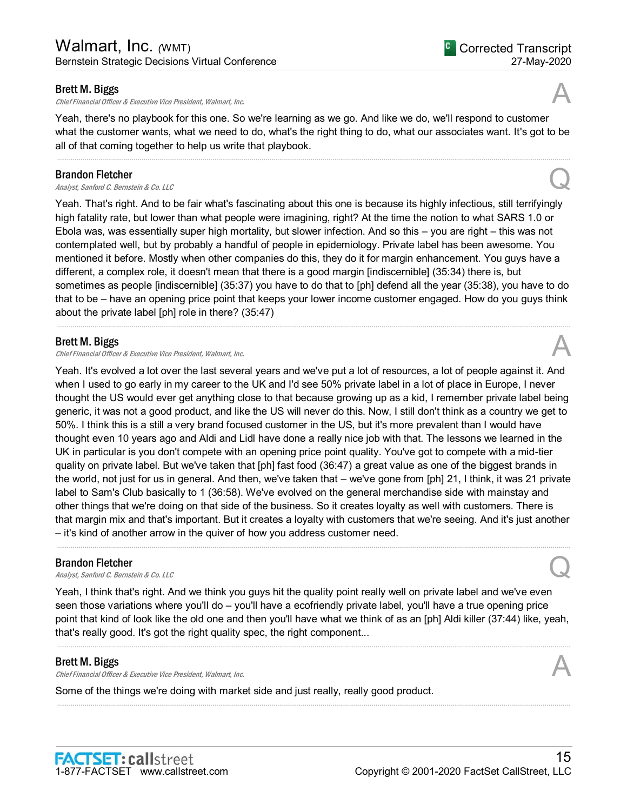Chief Financial Officer & Executive Vice President, Walmart, Inc.

Yeah, there's no playbook for this one. So we're learning as we go. And like we do, we'll respond to customer what the customer wants, what we need to do, what's the right thing to do, what our associates want. It's got to be all of that coming together to help us write that playbook.

.....................................................................................................................................................................................................................................................................

#### Brandon Fletcher

**Brandon Fletcher**<br>Analyst, Sanford C. Bernstein & Co. LLC Quarter  $\mathcal{Q}$ 

Yeah. That's right. And to be fair what's fascinating about this one is because its highly infectious, still terrifyingly high fatality rate, but lower than what people were imagining, right? At the time the notion to what SARS 1.0 or Ebola was, was essentially super high mortality, but slower infection. And so this – you are right – this was not contemplated well, but by probably a handful of people in epidemiology. Private label has been awesome. You mentioned it before. Mostly when other companies do this, they do it for margin enhancement. You guys have a different, a complex role, it doesn't mean that there is a good margin [indiscernible] (35:34) there is, but sometimes as people [indiscernible] (35:37) you have to do that to [ph] defend all the year (35:38), you have to do that to be – have an opening price point that keeps your lower income customer engaged. How do you guys think about the private label [ph] role in there? (35:47)

.....................................................................................................................................................................................................................................................................

#### Brett M. Biggs

Chief Financial Officer & Executive Vice President, Walmart, Inc.

Yeah. It's evolved a lot over the last several years and we've put a lot of resources, a lot of people against it. And when I used to go early in my career to the UK and I'd see 50% private label in a lot of place in Europe, I never thought the US would ever get anything close to that because growing up as a kid, I remember private label being generic, it was not a good product, and like the US will never do this. Now, I still don't think as a country we get to 50%. I think this is a still a very brand focused customer in the US, but it's more prevalent than I would have thought even 10 years ago and Aldi and Lidl have done a really nice job with that. The lessons we learned in the UK in particular is you don't compete with an opening price point quality. You've got to compete with a mid-tier quality on private label. But we've taken that [ph] fast food (36:47) a great value as one of the biggest brands in the world, not just for us in general. And then, we've taken that – we've gone from [ph] 21, I think, it was 21 private label to Sam's Club basically to 1 (36:58). We've evolved on the general merchandise side with mainstay and other things that we're doing on that side of the business. So it creates loyalty as well with customers. There is that margin mix and that's important. But it creates a loyalty with customers that we're seeing. And it's just another – it's kind of another arrow in the quiver of how you address customer need.

#### Brandon Fletcher

**Brandon Fletcher**<br>Analyst, Sanford C. Bernstein & Co. LLC Quantum Control of the Second Control of Brandyst, Sanford C. Bernstein & Co. LLC

Yeah, I think that's right. And we think you guys hit the quality point really well on private label and we've even seen those variations where you'll do – you'll have a ecofriendly private label, you'll have a true opening price point that kind of look like the old one and then you'll have what we think of as an [ph] Aldi killer (37:44) like, yeah, that's really good. It's got the right quality spec, the right component...

.....................................................................................................................................................................................................................................................................

.....................................................................................................................................................................................................................................................................

.....................................................................................................................................................................................................................................................................

#### Brett M. Biggs

Chief Financial Officer & Executive Vice President, Walmart, Inc.

Some of the things we're doing with market side and just really, really good product.



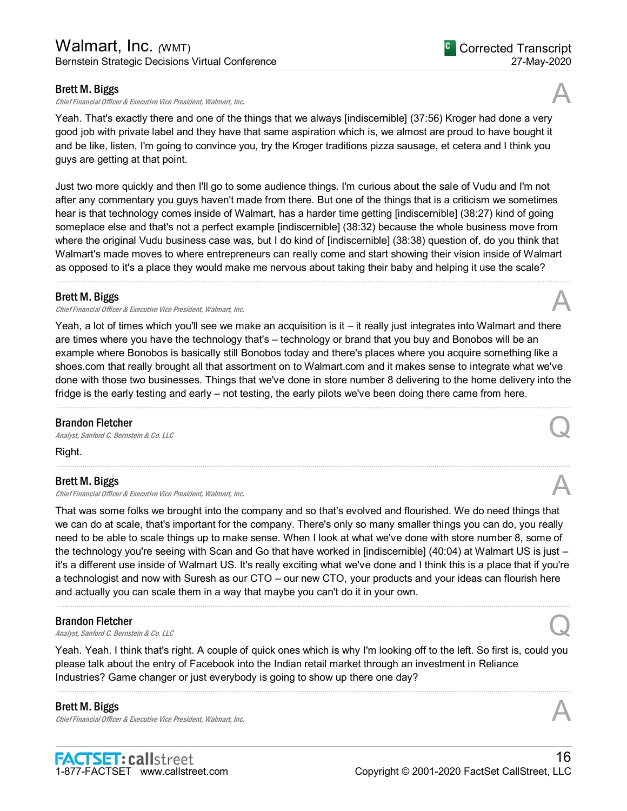Chief Financial Officer & Executive Vice President, Walmart, Inc.

Yeah. That's exactly there and one of the things that we always [indiscernible] (37:56) Kroger had done a very good job with private label and they have that same aspiration which is, we almost are proud to have bought it and be like, listen, I'm going to convince you, try the Kroger traditions pizza sausage, et cetera and I think you guys are getting at that point.

Just two more quickly and then I'll go to some audience things. I'm curious about the sale of Vudu and I'm not after any commentary you guys haven't made from there. But one of the things that is a criticism we sometimes hear is that technology comes inside of Walmart, has a harder time getting [indiscernible] (38:27) kind of going someplace else and that's not a perfect example [indiscernible] (38:32) because the whole business move from where the original Vudu business case was, but I do kind of [indiscernible] (38:38) question of, do you think that Walmart's made moves to where entrepreneurs can really come and start showing their vision inside of Walmart as opposed to it's a place they would make me nervous about taking their baby and helping it use the scale? .....................................................................................................................................................................................................................................................................

#### Brett M. Biggs

Chief Financial Officer & Executive Vice President, Walmart, Inc.

Yeah, a lot of times which you'll see we make an acquisition is it – it really just integrates into Walmart and there are times where you have the technology that's – technology or brand that you buy and Bonobos will be an example where Bonobos is basically still Bonobos today and there's places where you acquire something like a shoes.com that really brought all that assortment on to Walmart.com and it makes sense to integrate what we've done with those two businesses. Things that we've done in store number 8 delivering to the home delivery into the fridge is the early testing and early – not testing, the early pilots we've been doing there came from here.

.....................................................................................................................................................................................................................................................................

.....................................................................................................................................................................................................................................................................

#### Brandon Fletcher

**Brandon Fletcher**<br>Analyst, Sanford C. Bernstein & Co. LLC Quarter  $\mathcal{Q}$ 

Right.

#### Brett M. Biggs

Chief Financial Officer & Executive Vice President, Walmart, Inc.

That was some folks we brought into the company and so that's evolved and flourished. We do need things that we can do at scale, that's important for the company. There's only so many smaller things you can do, you really need to be able to scale things up to make sense. When I look at what we've done with store number 8, some of the technology you're seeing with Scan and Go that have worked in [indiscernible] (40:04) at Walmart US is just – it's a different use inside of Walmart US. It's really exciting what we've done and I think this is a place that if you're a technologist and now with Suresh as our CTO – our new CTO, your products and your ideas can flourish here and actually you can scale them in a way that maybe you can't do it in your own.

.....................................................................................................................................................................................................................................................................

#### Brandon Fletcher

**Brandon Fletcher**<br>Analyst, Sanford C. Bernstein & Co. LLC Quantum Control Control Control Control Control Control Control Control Control Control Control Control Control Control Control Control Control Control Control Co

Yeah. Yeah. I think that's right. A couple of quick ones which is why I'm looking off to the left. So first is, could you please talk about the entry of Facebook into the Indian retail market through an investment in Reliance Industries? Game changer or just everybody is going to show up there one day?

.....................................................................................................................................................................................................................................................................

## Brett M. Biggs

Chief Financial Officer & Executive Vice President, Walmart, Inc.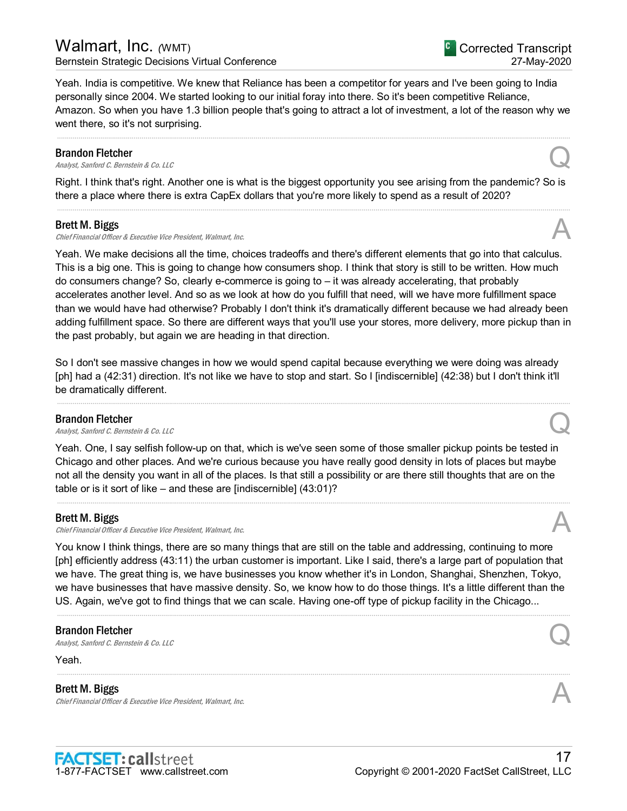## Walmart, Inc. *(*WMT) Bernstein Strategic Decisions Virtual Conference

Yeah. India is competitive. We knew that Reliance has been a competitor for years and I've been going to India personally since 2004. We started looking to our initial foray into there. So it's been competitive Reliance, Amazon. So when you have 1.3 billion people that's going to attract a lot of investment, a lot of the reason why we went there, so it's not surprising.

.....................................................................................................................................................................................................................................................................

#### Brandon Fletcher

**Brandon Fletcher**<br>Analyst, Sanford C. Bernstein & Co. LLC Quantum Control Control Control Control Control Control Control Control Control Control Control Control Control Control Control Control Control Control Control Co

Right. I think that's right. Another one is what is the biggest opportunity you see arising from the pandemic? So is there a place where there is extra CapEx dollars that you're more likely to spend as a result of 2020? .....................................................................................................................................................................................................................................................................

#### Brett M. Biggs

Chief Financial Officer & Executive Vice President, Walmart, Inc.

Yeah. We make decisions all the time, choices tradeoffs and there's different elements that go into that calculus. This is a big one. This is going to change how consumers shop. I think that story is still to be written. How much do consumers change? So, clearly e-commerce is going to – it was already accelerating, that probably accelerates another level. And so as we look at how do you fulfill that need, will we have more fulfillment space than we would have had otherwise? Probably I don't think it's dramatically different because we had already been adding fulfillment space. So there are different ways that you'll use your stores, more delivery, more pickup than in the past probably, but again we are heading in that direction.

So I don't see massive changes in how we would spend capital because everything we were doing was already [ph] had a (42:31) direction. It's not like we have to stop and start. So I [indiscernible] (42:38) but I don't think it'll be dramatically different.

.....................................................................................................................................................................................................................................................................

#### Brandon Fletcher

**Brandon Fletcher**<br>Analyst, Sanford C. Bernstein & Co. LLC Quantum Control Control Control Control Control Control Control Control Control Control Control Control Control Control Control Control Control Control Control Co

Yeah. One, I say selfish follow-up on that, which is we've seen some of those smaller pickup points be tested in Chicago and other places. And we're curious because you have really good density in lots of places but maybe not all the density you want in all of the places. Is that still a possibility or are there still thoughts that are on the table or is it sort of like – and these are [indiscernible] (43:01)?

.....................................................................................................................................................................................................................................................................

#### Brett M. Biggs

Chief Financial Officer & Executive Vice President, Walmart, Inc.

You know I think things, there are so many things that are still on the table and addressing, continuing to more [ph] efficiently address (43:11) the urban customer is important. Like I said, there's a large part of population that we have. The great thing is, we have businesses you know whether it's in London, Shanghai, Shenzhen, Tokyo, we have businesses that have massive density. So, we know how to do those things. It's a little different than the US. Again, we've got to find things that we can scale. Having one-off type of pickup facility in the Chicago...

.....................................................................................................................................................................................................................................................................

.....................................................................................................................................................................................................................................................................

#### Brandon Fletcher

**Brandon Fletcher**<br>Analyst, Sanford C. Bernstein & Co. LLC Quarter of the Control of the Control of the Control Control of the Control of the Control of the Control of the Control of the Control of the Control of the Cont

Yeah.

#### Brett M. Biggs

Chief Financial Officer & Executive Vice President, Walmart, Inc.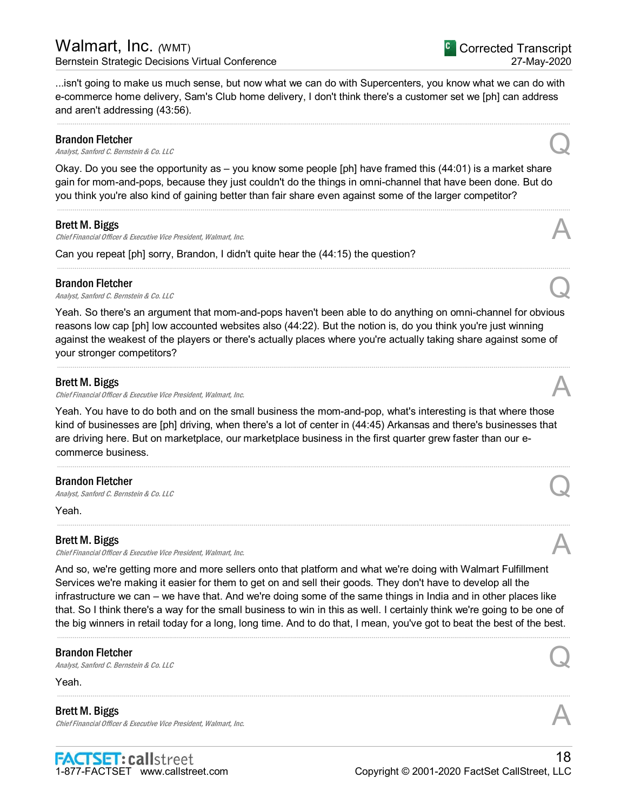<sup>C</sup> Corrected Transcript 27-May-2020

...isn't going to make us much sense, but now what we can do with Supercenters, you know what we can do with e-commerce home delivery, Sam's Club home delivery, I don't think there's a customer set we [ph] can address and aren't addressing (43:56).

.....................................................................................................................................................................................................................................................................

#### Brandon Fletcher

**Brandon Fletcher**<br>Analyst, Sanford C. Bernstein & Co. LLC Quantum Control Control Control Control Control Control Control Control Control Control Control Control Control Control Control Control Control Control Control Co

Okay. Do you see the opportunity as – you know some people [ph] have framed this (44:01) is a market share gain for mom-and-pops, because they just couldn't do the things in omni-channel that have been done. But do you think you're also kind of gaining better than fair share even against some of the larger competitor?

.....................................................................................................................................................................................................................................................................

.....................................................................................................................................................................................................................................................................

#### Brett M. Biggs

Chief Financial Officer & Executive Vice President, Walmart, Inc.

Can you repeat [ph] sorry, Brandon, I didn't quite hear the (44:15) the question?

#### Brandon Fletcher

**Brandon Fletcher**<br>Analyst, Sanford C. Bernstein & Co. LLC Quarter  $Q$ 

Yeah. So there's an argument that mom-and-pops haven't been able to do anything on omni-channel for obvious reasons low cap [ph] low accounted websites also (44:22). But the notion is, do you think you're just winning against the weakest of the players or there's actually places where you're actually taking share against some of your stronger competitors?

.....................................................................................................................................................................................................................................................................

#### Brett M. Biggs

Chief Financial Officer & Executive Vice President, Walmart, Inc.

Yeah. You have to do both and on the small business the mom-and-pop, what's interesting is that where those kind of businesses are [ph] driving, when there's a lot of center in (44:45) Arkansas and there's businesses that are driving here. But on marketplace, our marketplace business in the first quarter grew faster than our ecommerce business.

.....................................................................................................................................................................................................................................................................

.....................................................................................................................................................................................................................................................................

#### Brandon Fletcher

**Brandon Fletcher**<br>Analyst, Sanford C. Bernstein & Co. LLC Quantum Control Control Control Control Control Control Control Control Control Control Control Control Control Control Control Control Control Control Control Co

Yeah.

#### Brett M. Biggs

Chief Financial Officer & Executive Vice President, Walmart, Inc.

And so, we're getting more and more sellers onto that platform and what we're doing with Walmart Fulfillment Services we're making it easier for them to get on and sell their goods. They don't have to develop all the infrastructure we can – we have that. And we're doing some of the same things in India and in other places like that. So I think there's a way for the small business to win in this as well. I certainly think we're going to be one of the big winners in retail today for a long, long time. And to do that, I mean, you've got to beat the best of the best.

.....................................................................................................................................................................................................................................................................

.....................................................................................................................................................................................................................................................................

#### Brandon Fletcher

**Brandon Fletcher**<br>Analyst, Sanford C. Bernstein & Co. LLC Quantum Control of the Second Control of Brandyst, Sanford C. Bernstein & Co. LLC

Yeah.

#### Brett M. Biggs

**Brett M. Biggs**<br>Chief Financial Officer & Executive Vice President, Walmart, Inc. And Alta Chief Financial Officer & Executive Vice President, Walmart, Inc.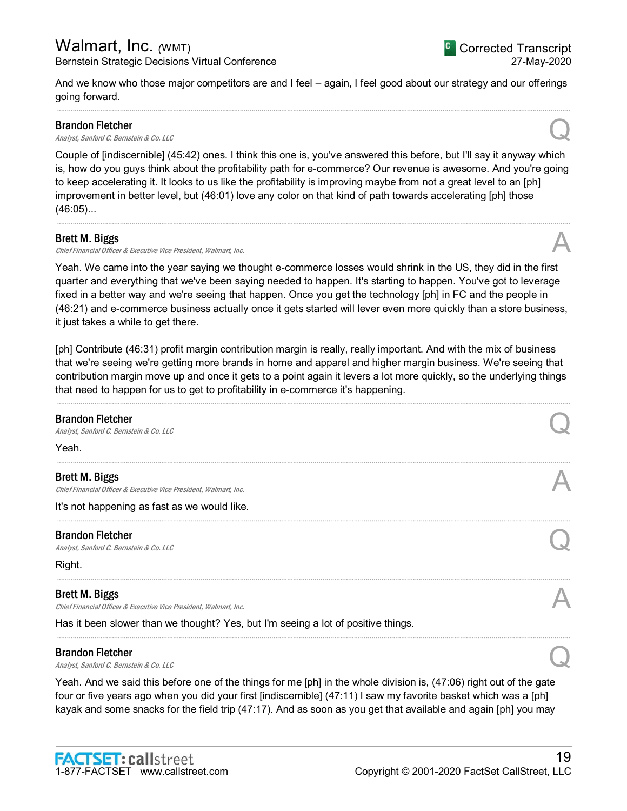And we know who those major competitors are and I feel – again, I feel good about our strategy and our offerings going forward. .....................................................................................................................................................................................................................................................................

#### Brandon Fletcher

**Brandon Fletcher**<br>Analyst, Sanford C. Bernstein & Co. LLC Quarter  $\mathcal{Q}$ 

Couple of [indiscernible] (45:42) ones. I think this one is, you've answered this before, but I'll say it anyway which is, how do you guys think about the profitability path for e-commerce? Our revenue is awesome. And you're going to keep accelerating it. It looks to us like the profitability is improving maybe from not a great level to an [ph] improvement in better level, but (46:01) love any color on that kind of path towards accelerating [ph] those (46:05)...

.....................................................................................................................................................................................................................................................................

#### Brett M. Biggs

Chief Financial Officer & Executive Vice President, Walmart, Inc.

Yeah. We came into the year saying we thought e-commerce losses would shrink in the US, they did in the first quarter and everything that we've been saying needed to happen. It's starting to happen. You've got to leverage fixed in a better way and we're seeing that happen. Once you get the technology [ph] in FC and the people in (46:21) and e-commerce business actually once it gets started will lever even more quickly than a store business, it just takes a while to get there.

[ph] Contribute (46:31) profit margin contribution margin is really, really important. And with the mix of business that we're seeing we're getting more brands in home and apparel and higher margin business. We're seeing that contribution margin move up and once it gets to a point again it levers a lot more quickly, so the underlying things that need to happen for us to get to profitability in e-commerce it's happening.

| <b>Brandon Fletcher</b><br>Analyst, Sanford C. Bernstein & Co. LLC                         |  |
|--------------------------------------------------------------------------------------------|--|
| Yeah.                                                                                      |  |
| <b>Brett M. Biggs</b><br>Chief Financial Officer & Executive Vice President, Walmart, Inc. |  |
| It's not happening as fast as we would like.                                               |  |
| <b>Brandon Fletcher</b><br>Analyst, Sanford C. Bernstein & Co. LLC                         |  |
| Right.                                                                                     |  |
| <b>Brett M. Biggs</b><br>Chief Financial Officer & Executive Vice President, Walmart, Inc. |  |
| Has it been slower than we thought? Yes, but I'm seeing a lot of positive things.          |  |
| <b>Brandon Fletcher</b><br>Analyst, Sanford C. Bernstein & Co. LLC                         |  |

Yeah. And we said this before one of the things for me [ph] in the whole division is, (47:06) right out of the gate four or five years ago when you did your first [indiscernible] (47:11) I saw my favorite basket which was a [ph] kayak and some snacks for the field trip (47:17). And as soon as you get that available and again [ph] you may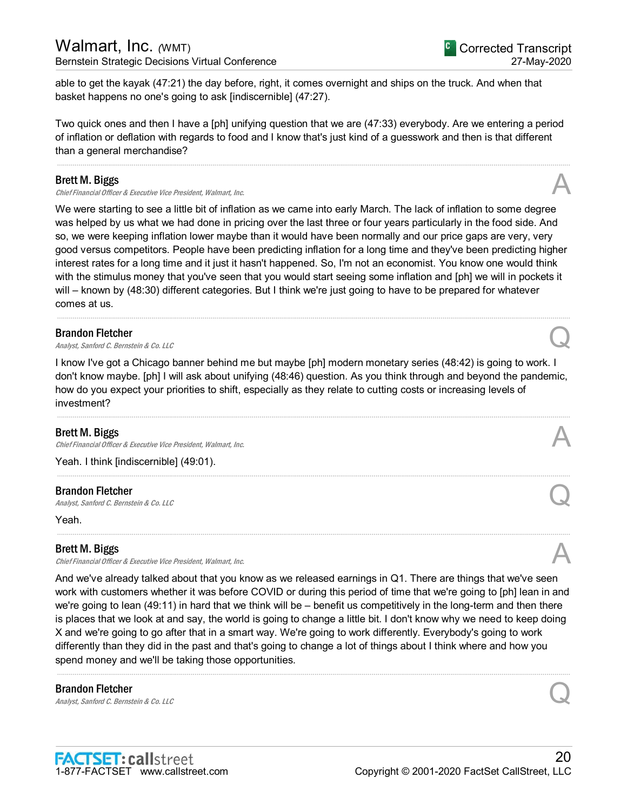## Walmart, Inc. *(WMT)* Bernstein Strategic Decisions Virtual Conference

able to get the kayak (47:21) the day before, right, it comes overnight and ships on the truck. And when that basket happens no one's going to ask [indiscernible] (47:27).

Two quick ones and then I have a [ph] unifying question that we are (47:33) everybody. Are we entering a period of inflation or deflation with regards to food and I know that's just kind of a guesswork and then is that different than a general merchandise?

.....................................................................................................................................................................................................................................................................

#### Brett M. Biggs

Chief Financial Officer & Executive Vice President, Walmart, Inc.

We were starting to see a little bit of inflation as we came into early March. The lack of inflation to some degree was helped by us what we had done in pricing over the last three or four years particularly in the food side. And so, we were keeping inflation lower maybe than it would have been normally and our price gaps are very, very good versus competitors. People have been predicting inflation for a long time and they've been predicting higher interest rates for a long time and it just it hasn't happened. So, I'm not an economist. You know one would think with the stimulus money that you've seen that you would start seeing some inflation and [ph] we will in pockets it will – known by (48:30) different categories. But I think we're just going to have to be prepared for whatever comes at us.

.....................................................................................................................................................................................................................................................................

#### Brandon Fletcher

**Brandon Fletcher**<br>Analyst, Sanford C. Bernstein & Co. LLC Quantum Control Control Control Control Control Control Control Control Control Control Control Control Control Control Control Control Control Control Control Co

I know I've got a Chicago banner behind me but maybe [ph] modern monetary series (48:42) is going to work. I don't know maybe. [ph] I will ask about unifying (48:46) question. As you think through and beyond the pandemic, how do you expect your priorities to shift, especially as they relate to cutting costs or increasing levels of investment?

.....................................................................................................................................................................................................................................................................

.....................................................................................................................................................................................................................................................................

.....................................................................................................................................................................................................................................................................

#### Brett M. Biggs

Chief Financial Officer & Executive Vice President, Walmart, Inc.

Yeah. I think [indiscernible] (49:01).

#### Brandon Fletcher

**Brandon Fletcher**<br>Analyst, Sanford C. Bernstein & Co. LLC Quantum Control of the Second Control of Brenstein Control Control Control of Brenstein & Co. LLC

Yeah.

#### Brett M. Biggs

Chief Financial Officer & Executive Vice President, Walmart, Inc.

And we've already talked about that you know as we released earnings in Q1. There are things that we've seen work with customers whether it was before COVID or during this period of time that we're going to [ph] lean in and we're going to lean (49:11) in hard that we think will be – benefit us competitively in the long-term and then there is places that we look at and say, the world is going to change a little bit. I don't know why we need to keep doing X and we're going to go after that in a smart way. We're going to work differently. Everybody's going to work differently than they did in the past and that's going to change a lot of things about I think where and how you spend money and we'll be taking those opportunities.

.....................................................................................................................................................................................................................................................................

#### Brandon Fletcher

**Brandon Fletcher**<br>Analyst, Sanford C. Bernstein & Co. LLC Quantum Control of the Second Control Control Control Control Control Control Control Control Control Control Control Control Control Control Control Control Cont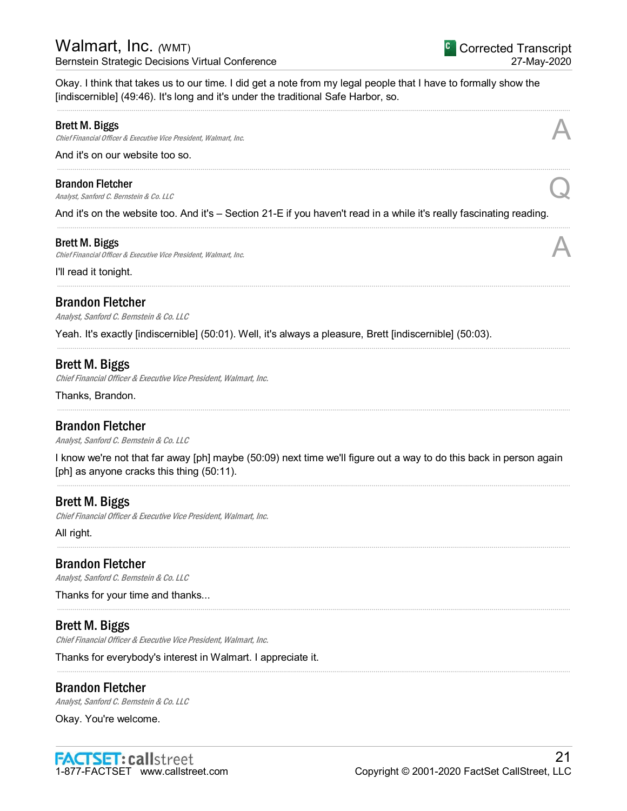## Walmart, Inc. *(*WMT) Bernstein Strategic Decisions Virtual Conference

Okay. I think that takes us to our time. I did get a note from my legal people that I have to formally show the [indiscernible] (49:46). It's long and it's under the traditional Safe Harbor, so.

.....................................................................................................................................................................................................................................................................

.....................................................................................................................................................................................................................................................................

.....................................................................................................................................................................................................................................................................

.....................................................................................................................................................................................................................................................................

.....................................................................................................................................................................................................................................................................

.....................................................................................................................................................................................................................................................................

#### Brett M. Biggs

Chief Financial Officer & Executive Vice President, Walmart, Inc.

And it's on our website too so.

#### Brandon Fletcher

**Brandon Fletcher**<br>Analyst, Sanford C. Bernstein & Co. LLC Quarter  $\mathcal{Q}$ 

And it's on the website too. And it's – Section 21-E if you haven't read in a while it's really fascinating reading.

#### Brett M. Biggs

Chief Financial Officer & Executive Vice President, Walmart, Inc.

I'll read it tonight.

## Brandon Fletcher

Analyst, Sanford C. Bernstein & Co. LLC

Yeah. It's exactly [indiscernible] (50:01). Well, it's always a pleasure, Brett [indiscernible] (50:03).

## Brett M. Biggs

Chief Financial Officer & Executive Vice President, Walmart, Inc.

Thanks, Brandon.

## Brandon Fletcher

Analyst, Sanford C. Bernstein & Co. LLC

I know we're not that far away [ph] maybe (50:09) next time we'll figure out a way to do this back in person again [ph] as anyone cracks this thing (50:11).

.....................................................................................................................................................................................................................................................................

.....................................................................................................................................................................................................................................................................

.....................................................................................................................................................................................................................................................................

.....................................................................................................................................................................................................................................................................

## Brett M. Biggs

Chief Financial Officer & Executive Vice President, Walmart, Inc.

All right.

## Brandon Fletcher

Analyst, Sanford C. Bernstein & Co. LLC

Thanks for your time and thanks...

## Brett M. Biggs

Chief Financial Officer & Executive Vice President, Walmart, Inc.

Thanks for everybody's interest in Walmart. I appreciate it.

## Brandon Fletcher

Analyst, Sanford C. Bernstein & Co. LLC

Okay. You're welcome.